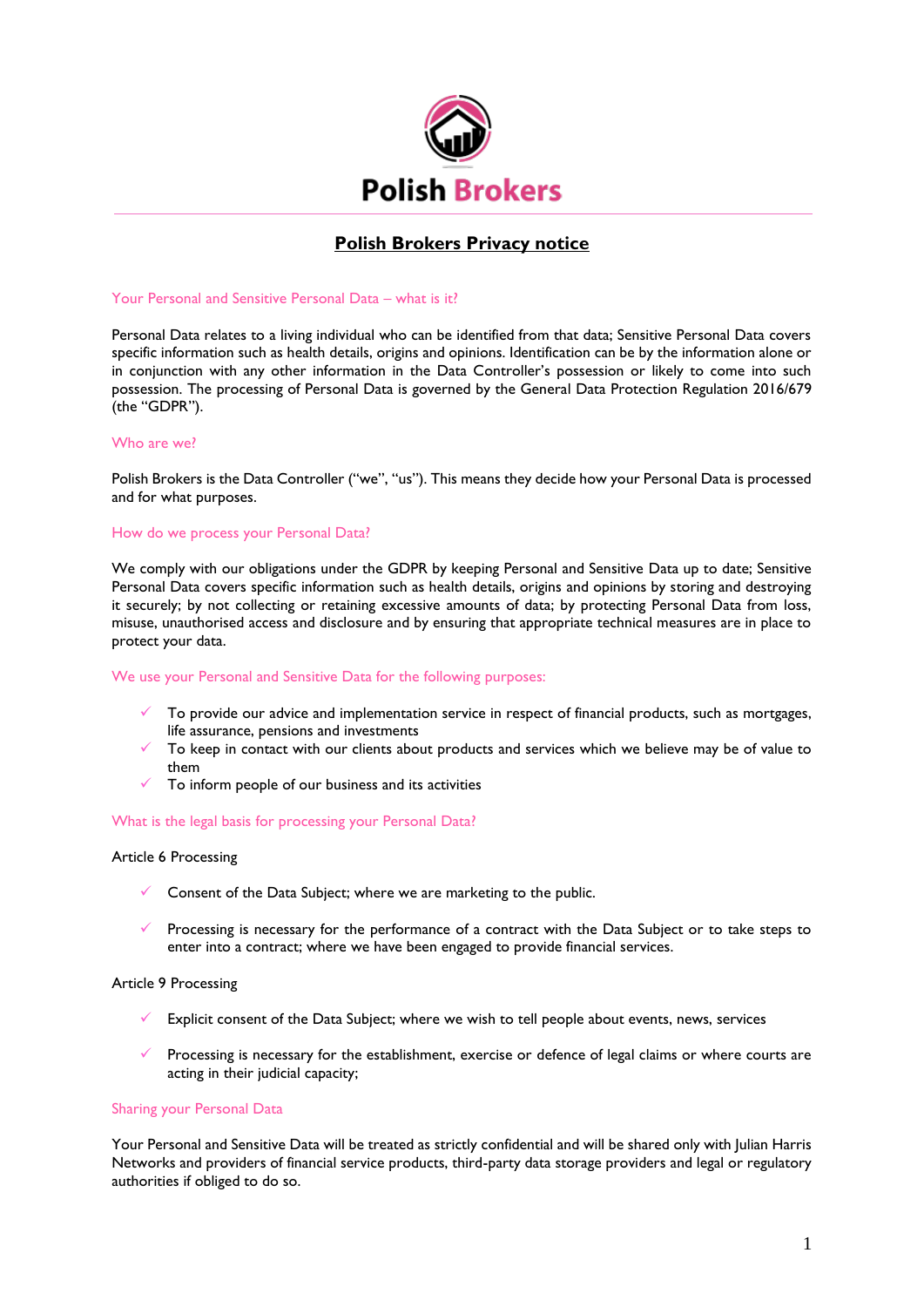

# **Polish Brokers Privacy notice**

# Your Personal and Sensitive Personal Data – what is it?

Personal Data relates to a living individual who can be identified from that data; Sensitive Personal Data covers specific information such as health details, origins and opinions. Identification can be by the information alone or in conjunction with any other information in the Data Controller's possession or likely to come into such possession. The processing of Personal Data is governed by the General Data Protection Regulation 2016/679 (the "GDPR").

#### Who are we?

Polish Brokers is the Data Controller ("we", "us"). This means they decide how your Personal Data is processed and for what purposes.

# How do we process your Personal Data?

We comply with our obligations under the GDPR by keeping Personal and Sensitive Data up to date; Sensitive Personal Data covers specific information such as health details, origins and opinions by storing and destroying it securely; by not collecting or retaining excessive amounts of data; by protecting Personal Data from loss, misuse, unauthorised access and disclosure and by ensuring that appropriate technical measures are in place to protect your data.

# We use your Personal and Sensitive Data for the following purposes:

- To provide our advice and implementation service in respect of financial products, such as mortgages, life assurance, pensions and investments
- To keep in contact with our clients about products and services which we believe may be of value to them
- To inform people of our business and its activities

#### What is the legal basis for processing your Personal Data?

# Article 6 Processing

- $\checkmark$  Consent of the Data Subject; where we are marketing to the public.
- Processing is necessary for the performance of a contract with the Data Subject or to take steps to enter into a contract; where we have been engaged to provide financial services.

#### Article 9 Processing

- Explicit consent of the Data Subject; where we wish to tell people about events, news, services
- Processing is necessary for the establishment, exercise or defence of legal claims or where courts are acting in their judicial capacity;

#### Sharing your Personal Data

Your Personal and Sensitive Data will be treated as strictly confidential and will be shared only with Julian Harris Networks and providers of financial service products, third-party data storage providers and legal or regulatory authorities if obliged to do so.